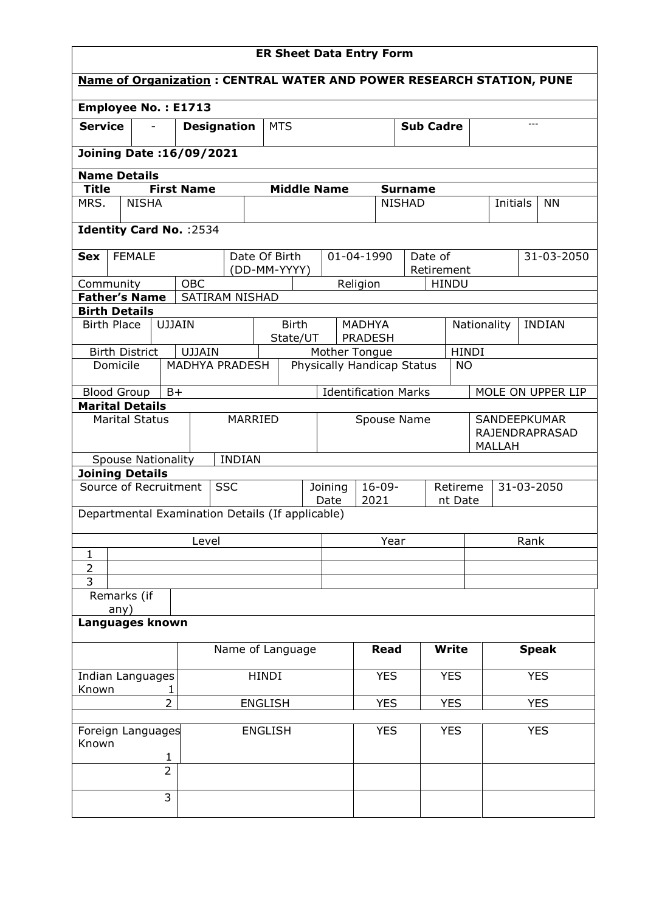| <b>Name of Organization: CENTRAL WATER AND POWER RESEARCH STATION, PUNE</b><br>Employee No.: E1713<br><b>Service</b><br><b>Designation</b><br><b>MTS</b><br><b>Sub Cadre</b><br><b>Joining Date: 16/09/2021</b><br><b>Name Details</b><br><b>First Name</b><br><b>Middle Name</b><br><b>Title</b><br><b>Surname</b><br><b>NISHA</b><br><b>NISHAD</b><br>MRS.<br>Initials<br><b>NN</b><br>Identity Card No. : 2534<br><b>FEMALE</b><br>Date Of Birth<br>01-04-1990<br>Date of<br>31-03-2050<br><b>Sex</b><br>(DD-MM-YYYY)<br>Retirement<br><b>OBC</b><br>Religion<br><b>HINDU</b><br>Community<br><b>Father's Name</b><br><b>SATIRAM NISHAD</b><br><b>Birth Details</b><br><b>Birth Place</b><br><b>UJJAIN</b><br><b>Birth</b><br><b>MADHYA</b><br>Nationality<br><b>INDIAN</b><br>State/UT<br><b>PRADESH</b><br><b>UJJAIN</b><br><b>HINDI</b><br>Mother Tongue<br><b>Birth District</b><br>MADHYA PRADESH<br>Physically Handicap Status<br>Domicile<br><b>NO</b><br><b>Identification Marks</b><br>$B+$<br>MOLE ON UPPER LIP<br><b>Blood Group</b><br><b>Marital Details</b><br><b>Marital Status</b><br>MARRIED<br>Spouse Name<br>SANDEEPKUMAR<br>RAJENDRAPRASAD<br><b>MALLAH</b><br><b>INDIAN</b><br><b>Spouse Nationality</b><br><b>Joining Details</b><br>Source of Recruitment<br><b>SSC</b><br>$16 - 09 -$<br>31-03-2050<br>Joining<br>Retireme<br>2021<br>Date<br>nt Date<br>Departmental Examination Details (If applicable)<br>Level<br>Year<br>Rank<br>$\mathbf{1}$<br>$\overline{2}$<br>$\overline{3}$<br>Remarks (if<br>any)<br>Languages known<br>Name of Language<br><b>Write</b><br><b>Speak</b><br><b>Read</b> | <b>ER Sheet Data Entry Form</b>     |  |  |  |  |  |  |  |  |  |  |  |  |  |  |  |
|--------------------------------------------------------------------------------------------------------------------------------------------------------------------------------------------------------------------------------------------------------------------------------------------------------------------------------------------------------------------------------------------------------------------------------------------------------------------------------------------------------------------------------------------------------------------------------------------------------------------------------------------------------------------------------------------------------------------------------------------------------------------------------------------------------------------------------------------------------------------------------------------------------------------------------------------------------------------------------------------------------------------------------------------------------------------------------------------------------------------------------------------------------------------------------------------------------------------------------------------------------------------------------------------------------------------------------------------------------------------------------------------------------------------------------------------------------------------------------------------------------------------------------------------------------------------------------------------------------------------------------|-------------------------------------|--|--|--|--|--|--|--|--|--|--|--|--|--|--|--|
|                                                                                                                                                                                                                                                                                                                                                                                                                                                                                                                                                                                                                                                                                                                                                                                                                                                                                                                                                                                                                                                                                                                                                                                                                                                                                                                                                                                                                                                                                                                                                                                                                                |                                     |  |  |  |  |  |  |  |  |  |  |  |  |  |  |  |
|                                                                                                                                                                                                                                                                                                                                                                                                                                                                                                                                                                                                                                                                                                                                                                                                                                                                                                                                                                                                                                                                                                                                                                                                                                                                                                                                                                                                                                                                                                                                                                                                                                |                                     |  |  |  |  |  |  |  |  |  |  |  |  |  |  |  |
|                                                                                                                                                                                                                                                                                                                                                                                                                                                                                                                                                                                                                                                                                                                                                                                                                                                                                                                                                                                                                                                                                                                                                                                                                                                                                                                                                                                                                                                                                                                                                                                                                                |                                     |  |  |  |  |  |  |  |  |  |  |  |  |  |  |  |
|                                                                                                                                                                                                                                                                                                                                                                                                                                                                                                                                                                                                                                                                                                                                                                                                                                                                                                                                                                                                                                                                                                                                                                                                                                                                                                                                                                                                                                                                                                                                                                                                                                |                                     |  |  |  |  |  |  |  |  |  |  |  |  |  |  |  |
|                                                                                                                                                                                                                                                                                                                                                                                                                                                                                                                                                                                                                                                                                                                                                                                                                                                                                                                                                                                                                                                                                                                                                                                                                                                                                                                                                                                                                                                                                                                                                                                                                                |                                     |  |  |  |  |  |  |  |  |  |  |  |  |  |  |  |
|                                                                                                                                                                                                                                                                                                                                                                                                                                                                                                                                                                                                                                                                                                                                                                                                                                                                                                                                                                                                                                                                                                                                                                                                                                                                                                                                                                                                                                                                                                                                                                                                                                |                                     |  |  |  |  |  |  |  |  |  |  |  |  |  |  |  |
|                                                                                                                                                                                                                                                                                                                                                                                                                                                                                                                                                                                                                                                                                                                                                                                                                                                                                                                                                                                                                                                                                                                                                                                                                                                                                                                                                                                                                                                                                                                                                                                                                                |                                     |  |  |  |  |  |  |  |  |  |  |  |  |  |  |  |
|                                                                                                                                                                                                                                                                                                                                                                                                                                                                                                                                                                                                                                                                                                                                                                                                                                                                                                                                                                                                                                                                                                                                                                                                                                                                                                                                                                                                                                                                                                                                                                                                                                |                                     |  |  |  |  |  |  |  |  |  |  |  |  |  |  |  |
|                                                                                                                                                                                                                                                                                                                                                                                                                                                                                                                                                                                                                                                                                                                                                                                                                                                                                                                                                                                                                                                                                                                                                                                                                                                                                                                                                                                                                                                                                                                                                                                                                                |                                     |  |  |  |  |  |  |  |  |  |  |  |  |  |  |  |
|                                                                                                                                                                                                                                                                                                                                                                                                                                                                                                                                                                                                                                                                                                                                                                                                                                                                                                                                                                                                                                                                                                                                                                                                                                                                                                                                                                                                                                                                                                                                                                                                                                |                                     |  |  |  |  |  |  |  |  |  |  |  |  |  |  |  |
|                                                                                                                                                                                                                                                                                                                                                                                                                                                                                                                                                                                                                                                                                                                                                                                                                                                                                                                                                                                                                                                                                                                                                                                                                                                                                                                                                                                                                                                                                                                                                                                                                                |                                     |  |  |  |  |  |  |  |  |  |  |  |  |  |  |  |
|                                                                                                                                                                                                                                                                                                                                                                                                                                                                                                                                                                                                                                                                                                                                                                                                                                                                                                                                                                                                                                                                                                                                                                                                                                                                                                                                                                                                                                                                                                                                                                                                                                |                                     |  |  |  |  |  |  |  |  |  |  |  |  |  |  |  |
|                                                                                                                                                                                                                                                                                                                                                                                                                                                                                                                                                                                                                                                                                                                                                                                                                                                                                                                                                                                                                                                                                                                                                                                                                                                                                                                                                                                                                                                                                                                                                                                                                                |                                     |  |  |  |  |  |  |  |  |  |  |  |  |  |  |  |
|                                                                                                                                                                                                                                                                                                                                                                                                                                                                                                                                                                                                                                                                                                                                                                                                                                                                                                                                                                                                                                                                                                                                                                                                                                                                                                                                                                                                                                                                                                                                                                                                                                |                                     |  |  |  |  |  |  |  |  |  |  |  |  |  |  |  |
|                                                                                                                                                                                                                                                                                                                                                                                                                                                                                                                                                                                                                                                                                                                                                                                                                                                                                                                                                                                                                                                                                                                                                                                                                                                                                                                                                                                                                                                                                                                                                                                                                                |                                     |  |  |  |  |  |  |  |  |  |  |  |  |  |  |  |
|                                                                                                                                                                                                                                                                                                                                                                                                                                                                                                                                                                                                                                                                                                                                                                                                                                                                                                                                                                                                                                                                                                                                                                                                                                                                                                                                                                                                                                                                                                                                                                                                                                |                                     |  |  |  |  |  |  |  |  |  |  |  |  |  |  |  |
|                                                                                                                                                                                                                                                                                                                                                                                                                                                                                                                                                                                                                                                                                                                                                                                                                                                                                                                                                                                                                                                                                                                                                                                                                                                                                                                                                                                                                                                                                                                                                                                                                                |                                     |  |  |  |  |  |  |  |  |  |  |  |  |  |  |  |
|                                                                                                                                                                                                                                                                                                                                                                                                                                                                                                                                                                                                                                                                                                                                                                                                                                                                                                                                                                                                                                                                                                                                                                                                                                                                                                                                                                                                                                                                                                                                                                                                                                |                                     |  |  |  |  |  |  |  |  |  |  |  |  |  |  |  |
|                                                                                                                                                                                                                                                                                                                                                                                                                                                                                                                                                                                                                                                                                                                                                                                                                                                                                                                                                                                                                                                                                                                                                                                                                                                                                                                                                                                                                                                                                                                                                                                                                                |                                     |  |  |  |  |  |  |  |  |  |  |  |  |  |  |  |
|                                                                                                                                                                                                                                                                                                                                                                                                                                                                                                                                                                                                                                                                                                                                                                                                                                                                                                                                                                                                                                                                                                                                                                                                                                                                                                                                                                                                                                                                                                                                                                                                                                |                                     |  |  |  |  |  |  |  |  |  |  |  |  |  |  |  |
|                                                                                                                                                                                                                                                                                                                                                                                                                                                                                                                                                                                                                                                                                                                                                                                                                                                                                                                                                                                                                                                                                                                                                                                                                                                                                                                                                                                                                                                                                                                                                                                                                                |                                     |  |  |  |  |  |  |  |  |  |  |  |  |  |  |  |
|                                                                                                                                                                                                                                                                                                                                                                                                                                                                                                                                                                                                                                                                                                                                                                                                                                                                                                                                                                                                                                                                                                                                                                                                                                                                                                                                                                                                                                                                                                                                                                                                                                |                                     |  |  |  |  |  |  |  |  |  |  |  |  |  |  |  |
|                                                                                                                                                                                                                                                                                                                                                                                                                                                                                                                                                                                                                                                                                                                                                                                                                                                                                                                                                                                                                                                                                                                                                                                                                                                                                                                                                                                                                                                                                                                                                                                                                                |                                     |  |  |  |  |  |  |  |  |  |  |  |  |  |  |  |
|                                                                                                                                                                                                                                                                                                                                                                                                                                                                                                                                                                                                                                                                                                                                                                                                                                                                                                                                                                                                                                                                                                                                                                                                                                                                                                                                                                                                                                                                                                                                                                                                                                |                                     |  |  |  |  |  |  |  |  |  |  |  |  |  |  |  |
|                                                                                                                                                                                                                                                                                                                                                                                                                                                                                                                                                                                                                                                                                                                                                                                                                                                                                                                                                                                                                                                                                                                                                                                                                                                                                                                                                                                                                                                                                                                                                                                                                                |                                     |  |  |  |  |  |  |  |  |  |  |  |  |  |  |  |
|                                                                                                                                                                                                                                                                                                                                                                                                                                                                                                                                                                                                                                                                                                                                                                                                                                                                                                                                                                                                                                                                                                                                                                                                                                                                                                                                                                                                                                                                                                                                                                                                                                |                                     |  |  |  |  |  |  |  |  |  |  |  |  |  |  |  |
|                                                                                                                                                                                                                                                                                                                                                                                                                                                                                                                                                                                                                                                                                                                                                                                                                                                                                                                                                                                                                                                                                                                                                                                                                                                                                                                                                                                                                                                                                                                                                                                                                                |                                     |  |  |  |  |  |  |  |  |  |  |  |  |  |  |  |
|                                                                                                                                                                                                                                                                                                                                                                                                                                                                                                                                                                                                                                                                                                                                                                                                                                                                                                                                                                                                                                                                                                                                                                                                                                                                                                                                                                                                                                                                                                                                                                                                                                |                                     |  |  |  |  |  |  |  |  |  |  |  |  |  |  |  |
| <b>YES</b><br><b>YES</b><br><b>YES</b><br><b>HINDI</b><br>Indian Languages                                                                                                                                                                                                                                                                                                                                                                                                                                                                                                                                                                                                                                                                                                                                                                                                                                                                                                                                                                                                                                                                                                                                                                                                                                                                                                                                                                                                                                                                                                                                                     |                                     |  |  |  |  |  |  |  |  |  |  |  |  |  |  |  |
| $\overline{2}$<br><b>YES</b><br><b>YES</b><br><b>YES</b><br><b>ENGLISH</b>                                                                                                                                                                                                                                                                                                                                                                                                                                                                                                                                                                                                                                                                                                                                                                                                                                                                                                                                                                                                                                                                                                                                                                                                                                                                                                                                                                                                                                                                                                                                                     | Known<br>1                          |  |  |  |  |  |  |  |  |  |  |  |  |  |  |  |
| <b>YES</b><br><b>YES</b><br><b>YES</b>                                                                                                                                                                                                                                                                                                                                                                                                                                                                                                                                                                                                                                                                                                                                                                                                                                                                                                                                                                                                                                                                                                                                                                                                                                                                                                                                                                                                                                                                                                                                                                                         |                                     |  |  |  |  |  |  |  |  |  |  |  |  |  |  |  |
| Known                                                                                                                                                                                                                                                                                                                                                                                                                                                                                                                                                                                                                                                                                                                                                                                                                                                                                                                                                                                                                                                                                                                                                                                                                                                                                                                                                                                                                                                                                                                                                                                                                          | Foreign Languages<br><b>ENGLISH</b> |  |  |  |  |  |  |  |  |  |  |  |  |  |  |  |
| 1<br>$\overline{2}$                                                                                                                                                                                                                                                                                                                                                                                                                                                                                                                                                                                                                                                                                                                                                                                                                                                                                                                                                                                                                                                                                                                                                                                                                                                                                                                                                                                                                                                                                                                                                                                                            |                                     |  |  |  |  |  |  |  |  |  |  |  |  |  |  |  |
| 3                                                                                                                                                                                                                                                                                                                                                                                                                                                                                                                                                                                                                                                                                                                                                                                                                                                                                                                                                                                                                                                                                                                                                                                                                                                                                                                                                                                                                                                                                                                                                                                                                              |                                     |  |  |  |  |  |  |  |  |  |  |  |  |  |  |  |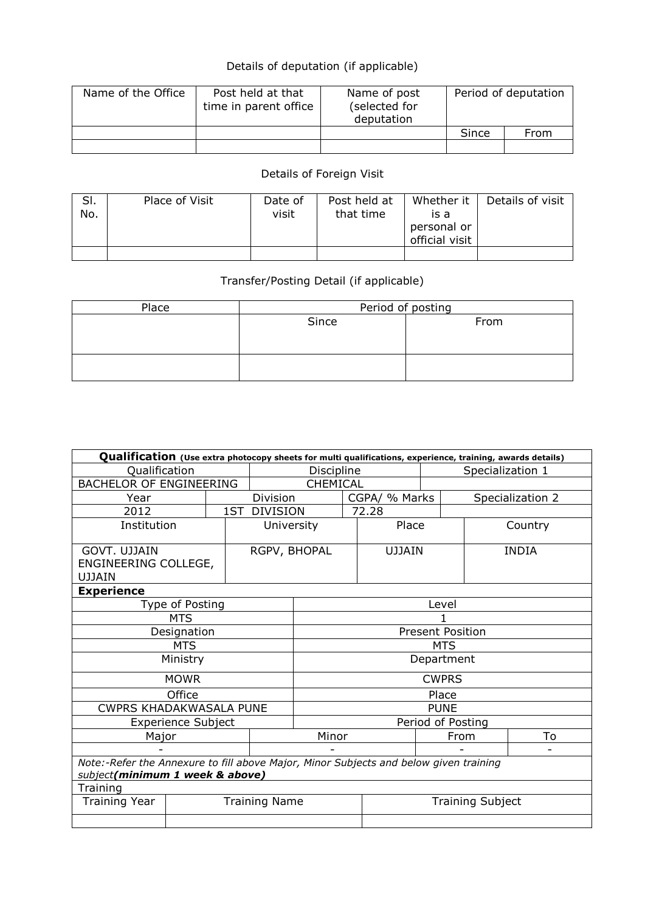## Details of deputation (if applicable)

| Name of the Office | Post held at that<br>time in parent office | Name of post<br>(selected for<br>deputation | Period of deputation |      |  |  |
|--------------------|--------------------------------------------|---------------------------------------------|----------------------|------|--|--|
|                    |                                            |                                             | Since                | From |  |  |
|                    |                                            |                                             |                      |      |  |  |

## Details of Foreign Visit

| SI.<br>No. | Place of Visit | Date of<br>visit | Post held at<br>that time | Whether it<br>is a<br>personal or<br>official visit | Details of visit |
|------------|----------------|------------------|---------------------------|-----------------------------------------------------|------------------|
|            |                |                  |                           |                                                     |                  |

## Transfer/Posting Detail (if applicable)

| Place | Period of posting |      |  |  |  |  |  |  |
|-------|-------------------|------|--|--|--|--|--|--|
|       | Since             | From |  |  |  |  |  |  |
|       |                   |      |  |  |  |  |  |  |
|       |                   |      |  |  |  |  |  |  |
|       |                   |      |  |  |  |  |  |  |
|       |                   |      |  |  |  |  |  |  |

| Qualification (Use extra photocopy sheets for multi qualifications, experience, training, awards details)                |                                      |     |                      |                         |                                |       |       |                  |              |  |  |  |  |
|--------------------------------------------------------------------------------------------------------------------------|--------------------------------------|-----|----------------------|-------------------------|--------------------------------|-------|-------|------------------|--------------|--|--|--|--|
| Qualification                                                                                                            |                                      |     |                      |                         | Discipline<br>Specialization 1 |       |       |                  |              |  |  |  |  |
| <b>BACHELOR OF ENGINEERING</b>                                                                                           |                                      |     |                      |                         | CHEMICAL                       |       |       |                  |              |  |  |  |  |
| Year                                                                                                                     |                                      |     | <b>Division</b>      | CGPA/ % Marks           |                                |       |       | Specialization 2 |              |  |  |  |  |
| 2012                                                                                                                     |                                      | 1ST | <b>DIVISION</b>      |                         |                                | 72.28 |       |                  |              |  |  |  |  |
|                                                                                                                          | Institution                          |     |                      | University<br>Place     |                                |       |       | Country          |              |  |  |  |  |
| GOVT, UJJAIN<br>UJJAIN                                                                                                   | RGPV, BHOPAL<br>ENGINEERING COLLEGE, |     |                      |                         | <b>UJJAIN</b>                  |       |       |                  | <b>INDIA</b> |  |  |  |  |
| <b>Experience</b>                                                                                                        |                                      |     |                      |                         |                                |       |       |                  |              |  |  |  |  |
|                                                                                                                          | Type of Posting<br><b>MTS</b>        |     |                      |                         |                                |       | Level |                  |              |  |  |  |  |
|                                                                                                                          |                                      |     |                      |                         |                                |       |       |                  |              |  |  |  |  |
|                                                                                                                          | Designation                          |     |                      | <b>Present Position</b> |                                |       |       |                  |              |  |  |  |  |
|                                                                                                                          | <b>MTS</b>                           |     |                      | <b>MTS</b>              |                                |       |       |                  |              |  |  |  |  |
|                                                                                                                          | Ministry                             |     |                      | Department              |                                |       |       |                  |              |  |  |  |  |
|                                                                                                                          | <b>MOWR</b>                          |     |                      | <b>CWPRS</b>            |                                |       |       |                  |              |  |  |  |  |
|                                                                                                                          | Office                               |     |                      | Place                   |                                |       |       |                  |              |  |  |  |  |
| CWPRS KHADAKWASALA PUNE                                                                                                  |                                      |     |                      | <b>PUNE</b>             |                                |       |       |                  |              |  |  |  |  |
|                                                                                                                          | <b>Experience Subject</b>            |     |                      | Period of Posting       |                                |       |       |                  |              |  |  |  |  |
| Major                                                                                                                    |                                      |     |                      | Minor                   |                                |       |       | From             | To           |  |  |  |  |
|                                                                                                                          |                                      |     |                      |                         |                                |       |       |                  |              |  |  |  |  |
| Note:-Refer the Annexure to fill above Major, Minor Subjects and below given training<br>subject(minimum 1 week & above) |                                      |     |                      |                         |                                |       |       |                  |              |  |  |  |  |
| Training                                                                                                                 |                                      |     |                      |                         |                                |       |       |                  |              |  |  |  |  |
| Training Year                                                                                                            |                                      |     | <b>Training Name</b> |                         | <b>Training Subject</b>        |       |       |                  |              |  |  |  |  |
|                                                                                                                          |                                      |     |                      |                         |                                |       |       |                  |              |  |  |  |  |